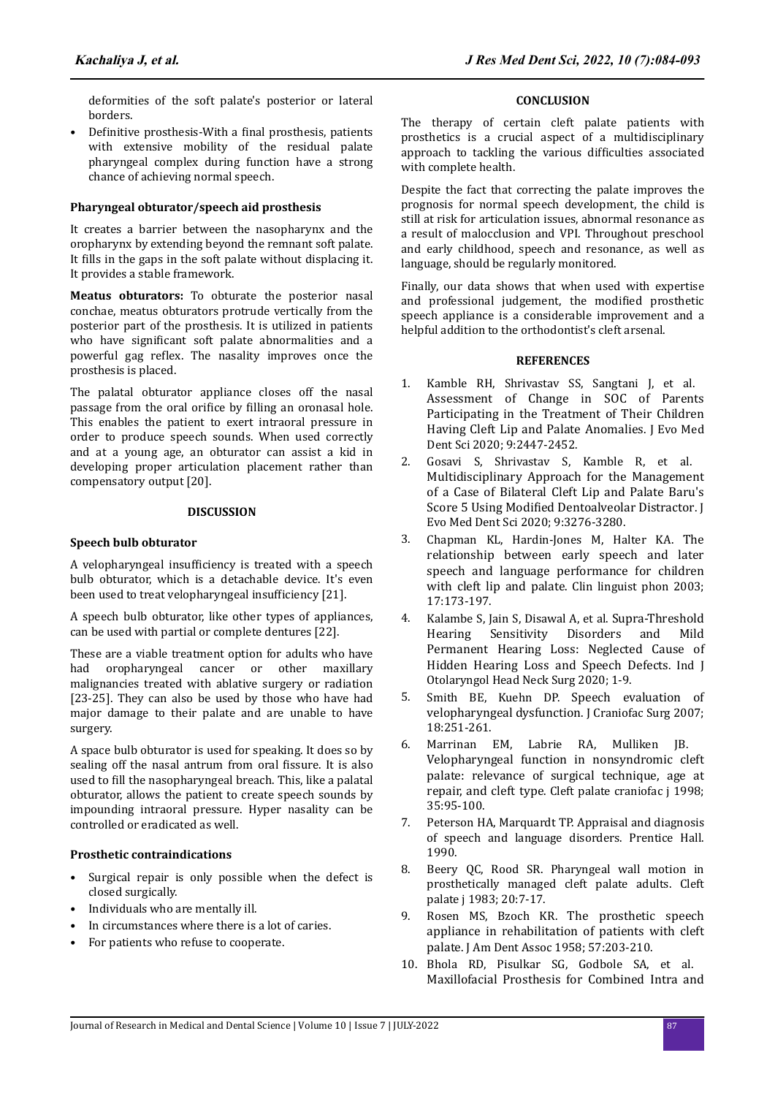deformities of the soft palate's posterior or lateral borders.

Definitive prosthesis-With a final prosthesis, patients with extensive mobility of the residual palate pharyngeal complex during function have a strong chance of achieving normal speech.

# **Pharyngeal obturator/speech aid prosthesis**

It creates a barrier between the nasopharynx and the oropharynx by extending beyond the remnant soft palate. It fills in the gaps in the soft palate without displacing it. It provides a stable framework.

**Meatus obturators:** To obturate the posterior nasal conchae, meatus obturators protrude vertically from the posterior part of the prosthesis. It is utilized in patients who have significant soft palate abnormalities and a powerful gag reflex. The nasality improves once the prosthesis is placed.

The palatal obturator appliance closes off the nasal passage from the oral orifice by filling an oronasal hole. This enables the patient to exert intraoral pressure in order to produce speech sounds. When used correctly and at a young age, an obturator can assist a kid in developing proper articulation placement rather than compensatory output [20].

## **DISCUSSION**

#### **Speech bulb obturator**

A velopharyngeal insufficiency is treated with a speech bulb obturator, which is a detachable device. It's even been used to treat velopharyngeal insufficiency [21].

A speech bulb obturator, like other types of appliances, can be used with partial or complete dentures [22].

These are a viable treatment option for adults who have had oropharyngeal cancer or other maxillary malignancies treated with ablative surgery or radiation [23-25]. They can also be used by those who have had major damage to their palate and are unable to have surgery.

A space bulb obturator is used for speaking. It does so by sealing off the nasal antrum from oral fissure. It is also used to fill the nasopharyngeal breach. This, like a palatal obturator, allows the patient to create speech sounds by impounding intraoral pressure. Hyper nasality can be controlled or eradicated as well.

### **Prosthetic contraindications**

- Surgical repair is only possible when the defect is closed surgically.
- Individuals who are mentally ill.
- In circumstances where there is a lot of caries.
- For patients who refuse to cooperate.

### **CONCLUSION**

The therapy of certain cleft palate patients with prosthetics is a crucial aspect of a multidisciplinary approach to tackling the various difficulties associated with complete health.

Despite the fact that correcting the palate improves the prognosis for normal speech development, the child is still at risk for articulation issues, abnormal resonance as a result of malocclusion and VPI. Throughout preschool and early childhood, speech and resonance, as well as language, should be regularly monitored.

Finally, our data shows that when used with expertise and professional judgement, the modified prosthetic speech appliance is a considerable improvement and a helpful addition to the orthodontist's cleft arsenal.

## **REFERENCES**

- 1. Kamble RH, Shrivastav SS, Sangtani J, et al. [Assessment of Change in SOC of Parents](https://www.jemds.com/data_pdf/monika%20ahuja--aug-17-Or.pdf) [Participating in the Treatment of Their Children](https://www.jemds.com/data_pdf/monika%20ahuja--aug-17-Or.pdf) [Having Cleft Lip and Palate Anomalies](https://www.jemds.com/data_pdf/monika%20ahuja--aug-17-Or.pdf). J Evo Med Dent Sci 2020; 9:2447-2452.
- 2. Gosavi S, Shrivastav S, Kamble R, et al. [Multidisciplinary Approach for the Management](https://www.jemds.com/data_pdf/Swapnaja%20Gosavi,.i--Ash.pdf) [of a Case of Bilateral Cleft Lip and Palate Baru's](https://www.jemds.com/data_pdf/Swapnaja%20Gosavi,.i--Ash.pdf) Score 5 Using Modified [Dentoalveolar Distractor](https://www.jemds.com/data_pdf/Swapnaja%20Gosavi,.i--Ash.pdf). J. Evo Med Dent Sci 2020; 9:3276-3280.
- 3. Chapman KL, Hardin-Jones M, Halter KA. [The](https://www.tandfonline.com/doi/abs/10.1080/0269920021000047864) [relationship between early speech and later](https://www.tandfonline.com/doi/abs/10.1080/0269920021000047864) [speech and language performance for children](https://www.tandfonline.com/doi/abs/10.1080/0269920021000047864) [with cleft lip and palate](https://www.tandfonline.com/doi/abs/10.1080/0269920021000047864). Clin linguist phon 2003; 17:173-197.
- 4. Kalambe S, Jain S, Disawal A, et al. [Supra-Threshold](https://www.springermedizin.de/supra-threshold-hearing-sensitivity-disorders-and-mild-permanent/17710964) [Hearing Sensitivity Disorders and Mild](https://www.springermedizin.de/supra-threshold-hearing-sensitivity-disorders-and-mild-permanent/17710964) [Permanent Hearing Loss: Neglected Cause of](https://www.springermedizin.de/supra-threshold-hearing-sensitivity-disorders-and-mild-permanent/17710964) [Hidden Hearing Loss and Speech Defects](https://www.springermedizin.de/supra-threshold-hearing-sensitivity-disorders-and-mild-permanent/17710964). Ind J Otolaryngol Head Neck Surg 2020; 1-9.
- 5. Smith BE, Kuehn DP. [Speech evaluation of](https://journals.lww.com/jcraniofacialsurgery/Abstract/2007/03000/Speech_Evaluation_of_Velopharyngeal_Dysfunction.5.aspx) [velopharyngeal dysfunction](https://journals.lww.com/jcraniofacialsurgery/Abstract/2007/03000/Speech_Evaluation_of_Velopharyngeal_Dysfunction.5.aspx). J Craniofac Surg 2007; 18:251-261.
- 6. Marrinan EM, Labrie RA, Mulliken JB. [Velopharyngeal function in nonsyndromic cleft](https://journals.sagepub.com/doi/10.1597/1545-1569_1998_035_0095_vfincp_2.3.co_2) [palate: relevance of surgical technique, age at](https://journals.sagepub.com/doi/10.1597/1545-1569_1998_035_0095_vfincp_2.3.co_2) [repair, and cleft type](https://journals.sagepub.com/doi/10.1597/1545-1569_1998_035_0095_vfincp_2.3.co_2). Cleft palate craniofac j 1998; 35:95-100.
- 7. Peterson HA, Marquardt TP. Appraisal and diagnosis of speech and language disorders. Prentice Hall. 1990.
- 8. Beery QC, Rood SR. Pharyngeal wall motion in prosthetically managed cleft palate adults. Cleft palate j 1983; 20:7-17.
- 9. Rosen MS, Bzoch KR. [The prosthetic speech](https://linkinghub.elsevier.com/retrieve/pii/S0002817758720101) [appliance in rehabilitation of patients with cleft](https://linkinghub.elsevier.com/retrieve/pii/S0002817758720101) [palate](https://linkinghub.elsevier.com/retrieve/pii/S0002817758720101). J Am Dent Assoc 1958; 57:203-210.
- 10. Bhola RD, Pisulkar SG, Godbole SA, et al. [Maxillofacial Prosthesis for Combined Intra and](https://www.jemds.com/data_pdf/Hetal%20Purohit%20(Rajiv%20Bhola)%20CR.pdf)